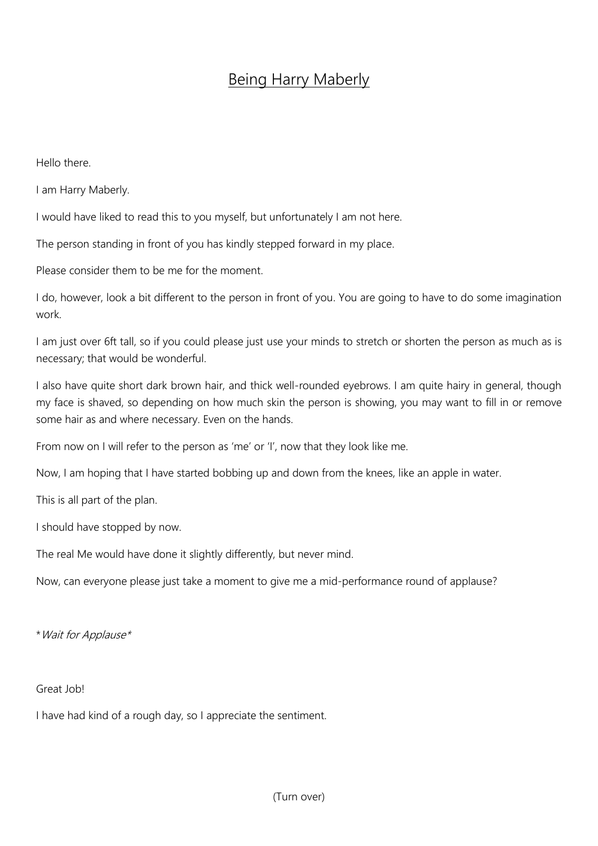## Being Harry Maberly

Hello there.

I am Harry Maberly.

I would have liked to read this to you myself, but unfortunately I am not here.

The person standing in front of you has kindly stepped forward in my place.

Please consider them to be me for the moment.

I do, however, look a bit different to the person in front of you. You are going to have to do some imagination work.

I am just over 6ft tall, so if you could please just use your minds to stretch or shorten the person as much as is necessary; that would be wonderful.

I also have quite short dark brown hair, and thick well-rounded eyebrows. I am quite hairy in general, though my face is shaved, so depending on how much skin the person is showing, you may want to fill in or remove some hair as and where necessary. Even on the hands.

From now on I will refer to the person as 'me' or 'I', now that they look like me.

Now, I am hoping that I have started bobbing up and down from the knees, like an apple in water.

This is all part of the plan.

I should have stopped by now.

The real Me would have done it slightly differently, but never mind.

Now, can everyone please just take a moment to give me a mid-performance round of applause?

\*Wait for Applause\*

## Great Job!

I have had kind of a rough day, so I appreciate the sentiment.